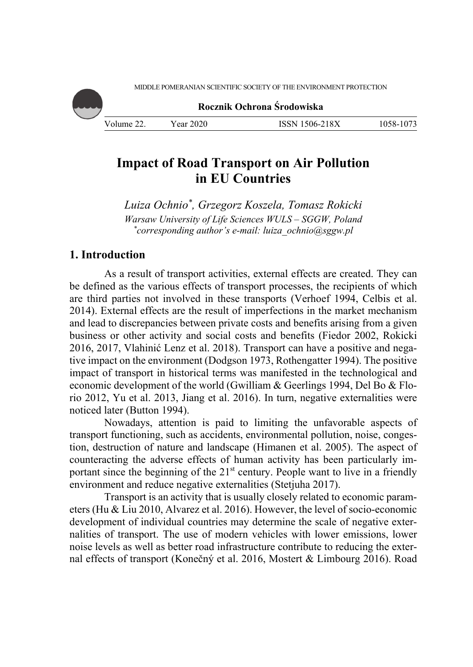

**Rocznik Ochrona Środowiska**

| Volume 22. | Year 2020 | <b>ISSN 1506-218X</b> | 1058-1073 |
|------------|-----------|-----------------------|-----------|

# **Impact of Road Transport on Air Pollution in EU Countries**

*Luiza Ochnio\*, Grzegorz Koszela, Tomasz Rokicki Warsaw University of Life Sciences WULS – SGGW, Poland \* corresponding author's e-mail: luiza\_ochnio@sggw.pl* 

# **1. Introduction**

As a result of transport activities, external effects are created. They can be defined as the various effects of transport processes, the recipients of which are third parties not involved in these transports (Verhoef 1994, Celbis et al. 2014). External effects are the result of imperfections in the market mechanism and lead to discrepancies between private costs and benefits arising from a given business or other activity and social costs and benefits (Fiedor 2002, Rokicki 2016, 2017, Vlahinić Lenz et al. 2018). Transport can have a positive and negative impact on the environment (Dodgson 1973, Rothengatter 1994). The positive impact of transport in historical terms was manifested in the technological and economic development of the world (Gwilliam & Geerlings 1994, Del Bo & Florio 2012, Yu et al. 2013, Jiang et al. 2016). In turn, negative externalities were noticed later (Button 1994).

Nowadays, attention is paid to limiting the unfavorable aspects of transport functioning, such as accidents, environmental pollution, noise, congestion, destruction of nature and landscape (Himanen et al. 2005). The aspect of counteracting the adverse effects of human activity has been particularly important since the beginning of the  $21<sup>st</sup>$  century. People want to live in a friendly environment and reduce negative externalities (Stetjuha 2017).

Transport is an activity that is usually closely related to economic parameters (Hu & Liu 2010, Alvarez et al. 2016). However, the level of socio-economic development of individual countries may determine the scale of negative externalities of transport. The use of modern vehicles with lower emissions, lower noise levels as well as better road infrastructure contribute to reducing the external effects of transport (Konečný et al. 2016, Mostert & Limbourg 2016). Road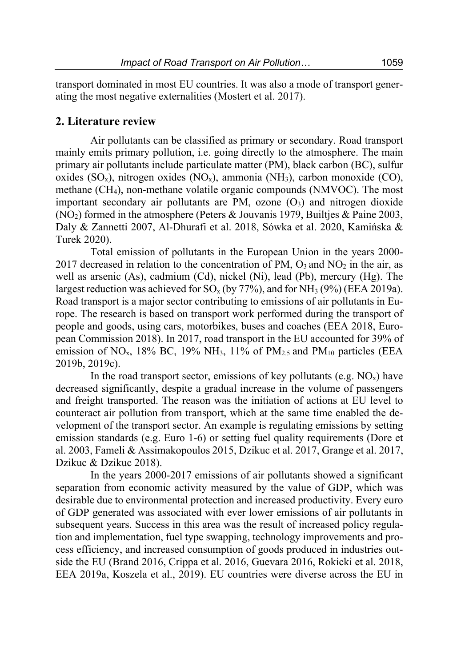transport dominated in most EU countries. It was also a mode of transport generating the most negative externalities (Mostert et al. 2017).

### **2. Literature review**

Air pollutants can be classified as primary or secondary. Road transport mainly emits primary pollution, i.e. going directly to the atmosphere. The main primary air pollutants include particulate matter (PM), black carbon (BC), sulfur oxides  $(SO_x)$ , nitrogen oxides  $(NO_x)$ , ammonia  $(NH_3)$ , carbon monoxide  $(CO)$ , methane (CH4), non-methane volatile organic compounds (NMVOC). The most important secondary air pollutants are PM, ozone  $(O_3)$  and nitrogen dioxide  $(NO<sub>2</sub>)$  formed in the atmosphere (Peters & Jouvanis 1979, Builties & Paine 2003, Daly & Zannetti 2007, Al-Dhurafi et al. 2018, Sówka et al. 2020, Kamińska & Turek 2020).

Total emission of pollutants in the European Union in the years 2000- 2017 decreased in relation to the concentration of PM,  $O_3$  and NO<sub>2</sub> in the air, as well as arsenic (As), cadmium (Cd), nickel (Ni), lead (Pb), mercury (Hg). The largest reduction was achieved for  $SO_x$  (by 77%), and for  $NH_3$  (9%) (EEA 2019a). Road transport is a major sector contributing to emissions of air pollutants in Europe. The research is based on transport work performed during the transport of people and goods, using cars, motorbikes, buses and coaches (EEA 2018, European Commission 2018). In 2017, road transport in the EU accounted for 39% of emission of NO<sub>x</sub>, 18% BC, 19% NH<sub>3</sub>, 11% of PM<sub>2.5</sub> and PM<sub>10</sub> particles (EEA 2019b, 2019c).

In the road transport sector, emissions of key pollutants (e.g.  $NO_x$ ) have decreased significantly, despite a gradual increase in the volume of passengers and freight transported. The reason was the initiation of actions at EU level to counteract air pollution from transport, which at the same time enabled the development of the transport sector. An example is regulating emissions by setting emission standards (e.g. Euro 1-6) or setting fuel quality requirements (Dore et al. 2003, Fameli & Assimakopoulos 2015, Dzikuc et al. 2017, Grange et al. 2017, Dzikuc & Dzikuc 2018).

In the years 2000-2017 emissions of air pollutants showed a significant separation from economic activity measured by the value of GDP, which was desirable due to environmental protection and increased productivity. Every euro of GDP generated was associated with ever lower emissions of air pollutants in subsequent years. Success in this area was the result of increased policy regulation and implementation, fuel type swapping, technology improvements and process efficiency, and increased consumption of goods produced in industries outside the EU (Brand 2016, Crippa et al. 2016, Guevara 2016, Rokicki et al. 2018, EEA 2019a, Koszela et al., 2019). EU countries were diverse across the EU in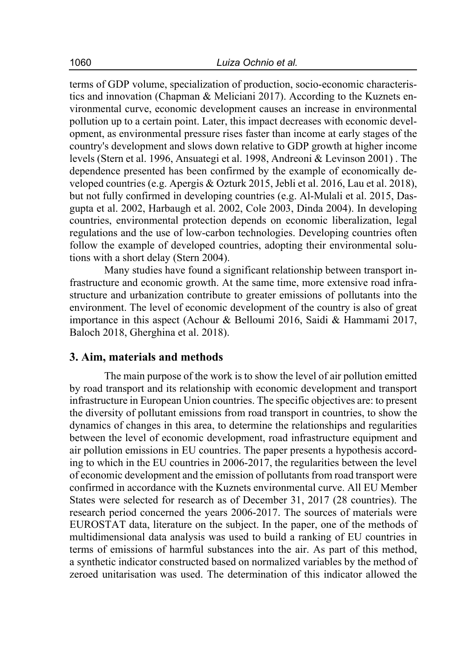terms of GDP volume, specialization of production, socio-economic characteristics and innovation (Chapman & Meliciani 2017). According to the Kuznets environmental curve, economic development causes an increase in environmental pollution up to a certain point. Later, this impact decreases with economic development, as environmental pressure rises faster than income at early stages of the country's development and slows down relative to GDP growth at higher income levels (Stern et al. 1996, Ansuategi et al. 1998, Andreoni & Levinson 2001) . The dependence presented has been confirmed by the example of economically developed countries (e.g. Apergis & Ozturk 2015, Jebli et al. 2016, Lau et al. 2018), but not fully confirmed in developing countries (e.g. Al-Mulali et al. 2015, Dasgupta et al. 2002, Harbaugh et al. 2002, Cole 2003, Dinda 2004). In developing countries, environmental protection depends on economic liberalization, legal regulations and the use of low-carbon technologies. Developing countries often follow the example of developed countries, adopting their environmental solutions with a short delay (Stern 2004).

Many studies have found a significant relationship between transport infrastructure and economic growth. At the same time, more extensive road infrastructure and urbanization contribute to greater emissions of pollutants into the environment. The level of economic development of the country is also of great importance in this aspect (Achour & Belloumi 2016, Saidi & Hammami 2017, Baloch 2018, Gherghina et al. 2018).

# **3. Aim, materials and methods**

The main purpose of the work is to show the level of air pollution emitted by road transport and its relationship with economic development and transport infrastructure in European Union countries. The specific objectives are: to present the diversity of pollutant emissions from road transport in countries, to show the dynamics of changes in this area, to determine the relationships and regularities between the level of economic development, road infrastructure equipment and air pollution emissions in EU countries. The paper presents a hypothesis according to which in the EU countries in 2006-2017, the regularities between the level of economic development and the emission of pollutants from road transport were confirmed in accordance with the Kuznets environmental curve. All EU Member States were selected for research as of December 31, 2017 (28 countries). The research period concerned the years 2006-2017. The sources of materials were EUROSTAT data, literature on the subject. In the paper, one of the methods of multidimensional data analysis was used to build a ranking of EU countries in terms of emissions of harmful substances into the air. As part of this method, a synthetic indicator constructed based on normalized variables by the method of zeroed unitarisation was used. The determination of this indicator allowed the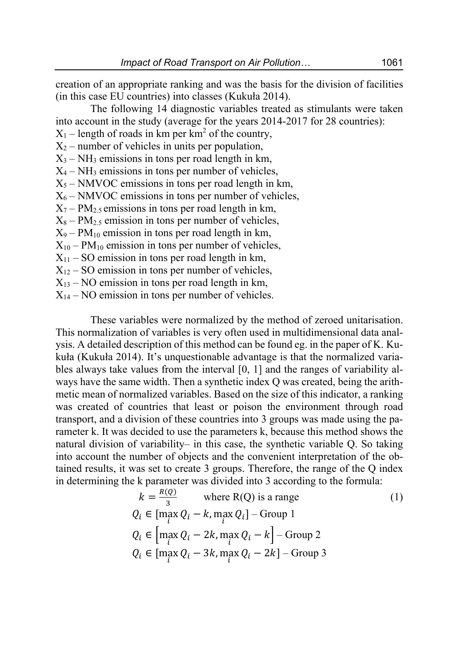creation of an appropriate ranking and was the basis for the division of facilities (in this case EU countries) into classes (Kukuła 2014).

The following 14 diagnostic variables treated as stimulants were taken into account in the study (average for the years 2014-2017 for 28 countries):

 $X_1$  – length of roads in km per km<sup>2</sup> of the country,

 $X_2$  – number of vehicles in units per population,

 $X_3$  – NH<sub>3</sub> emissions in tons per road length in km,

 $X_4$  – NH<sub>3</sub> emissions in tons per number of vehicles,

 $X_5$  – NMVOC emissions in tons per road length in km,

 $X_6$  – NMVOC emissions in tons per number of vehicles,

 $X_7$  – PM<sub>2.5</sub> emissions in tons per road length in km,

 $X_8 - PM_{2.5}$  emission in tons per number of vehicles,

 $X_9$  – PM<sub>10</sub> emission in tons per road length in km,

 $X_{10}$  – PM<sub>10</sub> emission in tons per number of vehicles,

 $X_{11}$  – SO emission in tons per road length in km,

 $X_{12}$  – SO emission in tons per number of vehicles,

 $X_{13}$  – NO emission in tons per road length in km,

 $X_{14}$  – NO emission in tons per number of vehicles.

These variables were normalized by the method of zeroed unitarisation. This normalization of variables is very often used in multidimensional data analysis. A detailed description of this method can be found eg. in the paper of K. Kukuła (Kukuła 2014). It's unquestionable advantage is that the normalized variables always take values from the interval [0, 1] and the ranges of variability always have the same width. Then a synthetic index Q was created, being the arithmetic mean of normalized variables. Based on the size of this indicator, a ranking was created of countries that least or poison the environment through road transport, and a division of these countries into 3 groups was made using the parameter k. It was decided to use the parameters k, because this method shows the natural division of variability– in this case, the synthetic variable Q. So taking into account the number of objects and the convenient interpretation of the obtained results, it was set to create 3 groups. Therefore, the range of the Q index in determining the k parameter was divided into 3 according to the formula:

$$
k = \frac{R(Q)}{3} \quad \text{where } R(Q) \text{ is a range} \tag{1}
$$
\n
$$
Q_i \in [\max_i Q_i - k, \max_i Q_i] - \text{Group 1}
$$
\n
$$
Q_i \in [\max_i Q_i - 2k, \max_i Q_i - k] - \text{Group 2}
$$
\n
$$
Q_i \in [\max_i Q_i - 3k, \max_i Q_i - 2k] - \text{Group 3}
$$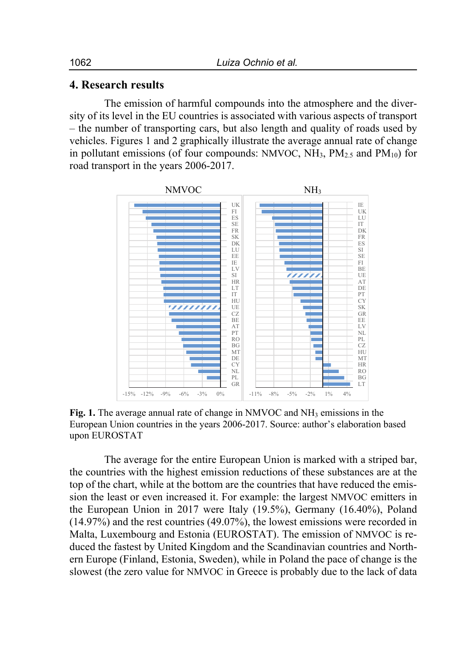### **4. Research results**

The emission of harmful compounds into the atmosphere and the diversity of its level in the EU countries is associated with various aspects of transport – the number of transporting cars, but also length and quality of roads used by vehicles. Figures 1 and 2 graphically illustrate the average annual rate of change in pollutant emissions (of four compounds: NMVOC,  $NH_3$ ,  $PM_{2.5}$  and  $PM_{10}$ ) for road transport in the years 2006-2017.



**Fig. 1.** The average annual rate of change in NMVOC and NH3 emissions in the European Union countries in the years 2006-2017. Source: author's elaboration based upon EUROSTAT

The average for the entire European Union is marked with a striped bar, the countries with the highest emission reductions of these substances are at the top of the chart, while at the bottom are the countries that have reduced the emission the least or even increased it. For example: the largest NMVOC emitters in the European Union in 2017 were Italy (19.5%), Germany (16.40%), Poland (14.97%) and the rest countries (49.07%), the lowest emissions were recorded in Malta, Luxembourg and Estonia (EUROSTAT). The emission of NMVOC is reduced the fastest by United Kingdom and the Scandinavian countries and Northern Europe (Finland, Estonia, Sweden), while in Poland the pace of change is the slowest (the zero value for NMVOC in Greece is probably due to the lack of data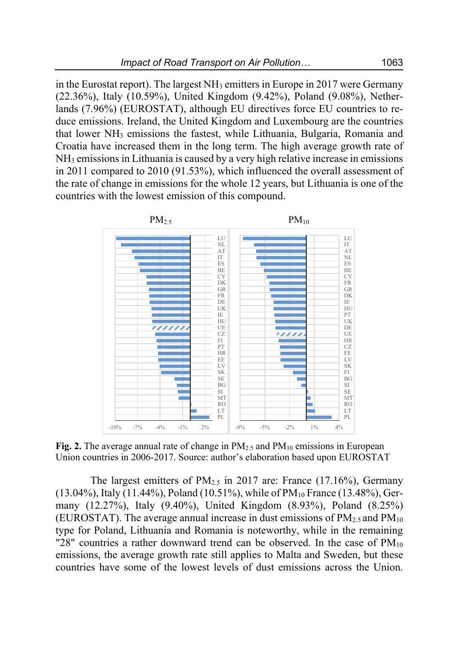in the Eurostat report). The largest  $NH_3$  emitters in Europe in 2017 were Germany (22.36%), Italy (10.59%), United Kingdom (9.42%), Poland (9.08%), Netherlands (7.96%) (EUROSTAT), although EU directives force EU countries to reduce emissions. Ireland, the United Kingdom and Luxembourg are the countries that lower NH<sub>3</sub> emissions the fastest, while Lithuania, Bulgaria, Romania and Croatia have increased them in the long term. The high average growth rate of NH3 emissions in Lithuania is caused by a very high relative increase in emissions in 2011 compared to 2010 (91.53%), which influenced the overall assessment of the rate of change in emissions for the whole 12 years, but Lithuania is one of the countries with the lowest emission of this compound.



**Fig. 2.** The average annual rate of change in  $PM_{2.5}$  and  $PM_{10}$  emissions in European Union countries in 2006-2017. Source: author's elaboration based upon EUROSTAT

The largest emitters of  $PM_{2.5}$  in 2017 are: France (17.16%), Germany (13.04%), Italy (11.44%), Poland (10.51%), while of  $PM_{10}$  France (13.48%), Germany (12.27%), Italy (9.40%), United Kingdom (8.93%), Poland (8.25%) (EUROSTAT). The average annual increase in dust emissions of  $PM_{2.5}$  and  $PM_{10}$ type for Poland, Lithuania and Romania is noteworthy, while in the remaining "28" countries a rather downward trend can be observed. In the case of  $PM_{10}$ emissions, the average growth rate still applies to Malta and Sweden, but these countries have some of the lowest levels of dust emissions across the Union.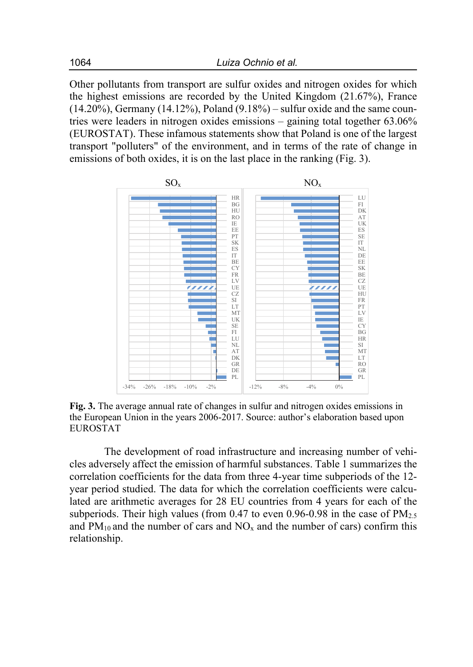Other pollutants from transport are sulfur oxides and nitrogen oxides for which the highest emissions are recorded by the United Kingdom (21.67%), France  $(14.20\%)$ , Germany  $(14.12\%)$ , Poland  $(9.18\%)$  – sulfur oxide and the same countries were leaders in nitrogen oxides emissions – gaining total together 63.06% (EUROSTAT). These infamous statements show that Poland is one of the largest transport "polluters" of the environment, and in terms of the rate of change in emissions of both oxides, it is on the last place in the ranking (Fig. 3).



**Fig. 3.** The average annual rate of changes in sulfur and nitrogen oxides emissions in the European Union in the years 2006-2017. Source: author's elaboration based upon EUROSTAT

The development of road infrastructure and increasing number of vehicles adversely affect the emission of harmful substances. Table 1 summarizes the correlation coefficients for the data from three 4-year time subperiods of the 12 year period studied. The data for which the correlation coefficients were calculated are arithmetic averages for 28 EU countries from 4 years for each of the subperiods. Their high values (from  $0.47$  to even  $0.96$ -0.98 in the case of  $PM_{2.5}$ and  $PM_{10}$  and the number of cars and  $NO<sub>x</sub>$  and the number of cars) confirm this relationship.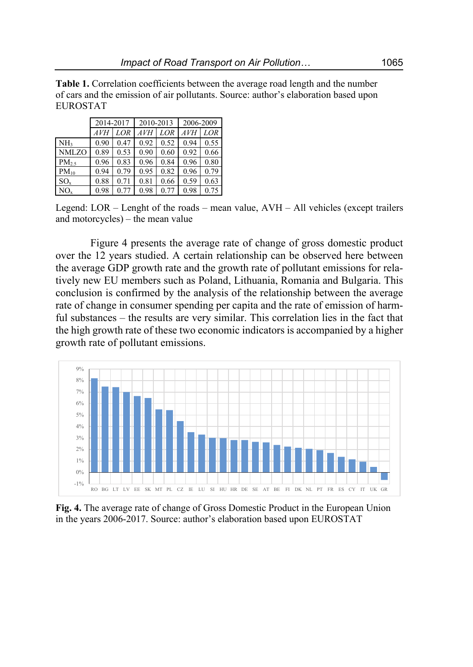**Table 1.** Correlation coefficients between the average road length and the number of cars and the emission of air pollutants. Source: author's elaboration based upon EUROSTAT

|                   | 2014-2017 |      | 2010-2013 |      | 2006-2009  |      |  |
|-------------------|-----------|------|-----------|------|------------|------|--|
|                   | AVH       | LOR  | AVH       | LOR  | <b>AVH</b> | LOR  |  |
| NH <sub>3</sub>   | 0.90      | 0.47 | 0.92      | 0.52 | 0.94       | 0.55 |  |
| NMLZO             | 0.89      | 0.53 | 0.90      | 0.60 | 0.92       | 0.66 |  |
| PM <sub>2.5</sub> | 0.96      | 0.83 | 0.96      | 0.84 | 0.96       | 0.80 |  |
| $PM_{10}$         | 0.94      | 0.79 | 0.95      | 0.82 | 0.96       | 0.79 |  |
| $SO_{x}$          | 0.88      | 0.71 | 0.81      | 0.66 | 0.59       | 0.63 |  |
| NO.               | 0.98      | 0.77 | 0.98      | 0.77 | 0.98       | 0.75 |  |

Legend: LOR – Lenght of the roads – mean value, AVH – All vehicles (except trailers and motorcycles) – the mean value

Figure 4 presents the average rate of change of gross domestic product over the 12 years studied. A certain relationship can be observed here between the average GDP growth rate and the growth rate of pollutant emissions for relatively new EU members such as Poland, Lithuania, Romania and Bulgaria. This conclusion is confirmed by the analysis of the relationship between the average rate of change in consumer spending per capita and the rate of emission of harmful substances – the results are very similar. This correlation lies in the fact that the high growth rate of these two economic indicators is accompanied by a higher growth rate of pollutant emissions.



**Fig. 4.** The average rate of change of Gross Domestic Product in the European Union in the years 2006-2017. Source: author's elaboration based upon EUROSTAT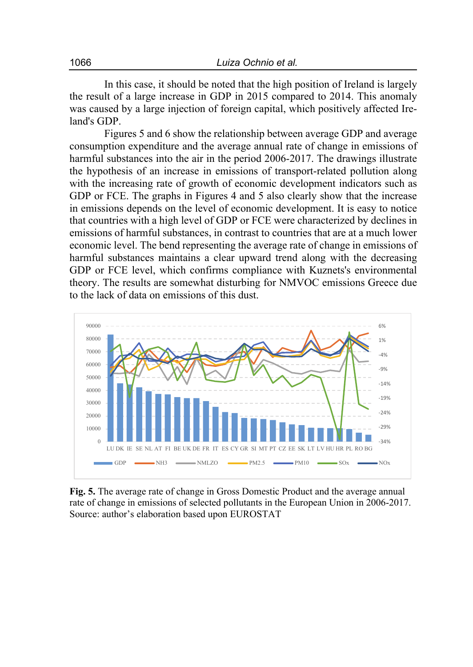In this case, it should be noted that the high position of Ireland is largely the result of a large increase in GDP in 2015 compared to 2014. This anomaly was caused by a large injection of foreign capital, which positively affected Ireland's GDP.

Figures 5 and 6 show the relationship between average GDP and average consumption expenditure and the average annual rate of change in emissions of harmful substances into the air in the period 2006-2017. The drawings illustrate the hypothesis of an increase in emissions of transport-related pollution along with the increasing rate of growth of economic development indicators such as GDP or FCE. The graphs in Figures 4 and 5 also clearly show that the increase in emissions depends on the level of economic development. It is easy to notice that countries with a high level of GDP or FCE were characterized by declines in emissions of harmful substances, in contrast to countries that are at a much lower economic level. The bend representing the average rate of change in emissions of harmful substances maintains a clear upward trend along with the decreasing GDP or FCE level, which confirms compliance with Kuznets's environmental theory. The results are somewhat disturbing for NMVOC emissions Greece due to the lack of data on emissions of this dust.



**Fig. 5.** The average rate of change in Gross Domestic Product and the average annual rate of change in emissions of selected pollutants in the European Union in 2006-2017. Source: author's elaboration based upon EUROSTAT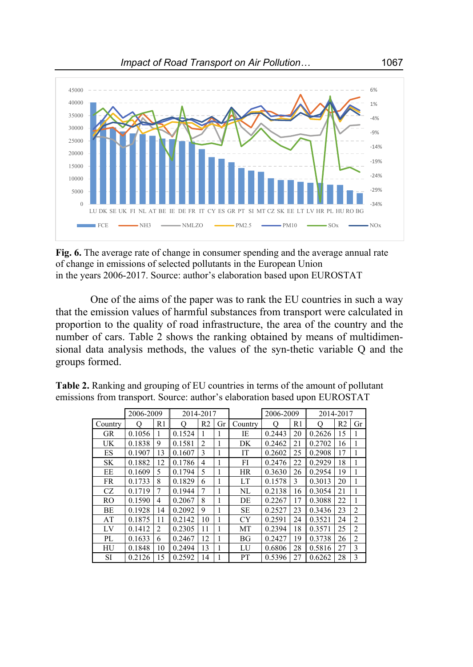

**Fig. 6.** The average rate of change in consumer spending and the average annual rate of change in emissions of selected pollutants in the European Union in the years 2006-2017. Source: author's elaboration based upon EUROSTAT

One of the aims of the paper was to rank the EU countries in such a way that the emission values of harmful substances from transport were calculated in proportion to the quality of road infrastructure, the area of the country and the number of cars. Table 2 shows the ranking obtained by means of multidimensional data analysis methods, the values of the syn-thetic variable Q and the groups formed.

|           | 2006-2009           |                |        | 2014-2017      |    |           | 2006-2009 |    | 2014-2017 |                |                |
|-----------|---------------------|----------------|--------|----------------|----|-----------|-----------|----|-----------|----------------|----------------|
| Country   | $\scriptstyle\rm O$ | R1             | O)     | R <sub>2</sub> | Gr | Country   | О         | R1 | О         | R <sub>2</sub> | Gr             |
| GR        | 0.1056              |                | 0.1524 |                | 1  | IE        | 0.2443    | 20 | 0.2626    | 15             |                |
| UK        | 0.1838              | 9              | 0.1581 | $\overline{c}$ | 1  | DK        | 0.2462    | 21 | 0.2702    | 16             |                |
| ES        | 0.1907              | 13             | 0.1607 | 3              | 1  | IT        | 0.2602    | 25 | 0.2908    | 17             |                |
| <b>SK</b> | 0.1882              | 12             | 0.1786 | $\overline{4}$ | 1  | FI        | 0.2476    | 22 | 0.2929    | 18             |                |
| EE        | 0.1609              | 5              | 0.1794 | 5              | 1  | <b>HR</b> | 0.3630    | 26 | 0.2954    | 19             |                |
| <b>FR</b> | 0.1733              | 8              | 0.1829 | 6              | 1  | LT        | 0.1578    | 3  | 0.3013    | 20             |                |
| CZ.       | 0.1719              | 7              | 0.1944 | 7              |    | NL        | 0.2138    | 16 | 0.3054    | 21             |                |
| RO        | 0.1590              | 4              | 0.2067 | 8              | 1  | DE        | 0.2267    | 17 | 0.3088    | 22             |                |
| <b>BE</b> | 0.1928              | 14             | 0.2092 | 9              | 1  | <b>SE</b> | 0.2527    | 23 | 0.3436    | 23             | $\overline{2}$ |
| AT        | 0.1875              | 11             | 0.2142 | 10             |    | CY        | 0.2591    | 24 | 0.3521    | 24             | $\overline{2}$ |
| LV        | 0.1412              | $\overline{c}$ | 0.2305 | 11             |    | MT        | 0.2394    | 18 | 0.3571    | 25             | $\overline{2}$ |
| PL        | 0.1633              | 6              | 0.2467 | 12             |    | BG        | 0.2427    | 19 | 0.3738    | 26             | $\overline{2}$ |
| HU        | 0.1848              | 10             | 0.2494 | 13             |    | LU        | 0.6806    | 28 | 0.5816    | 27             | 3              |
| SI        | 0.2126              | 15             | 0.2592 | 14             |    | PT        | 0.5396    | 27 | 0.6262    | 28             | 3              |

**Table 2.** Ranking and grouping of EU countries in terms of the amount of pollutant emissions from transport. Source: author's elaboration based upon EUROSTAT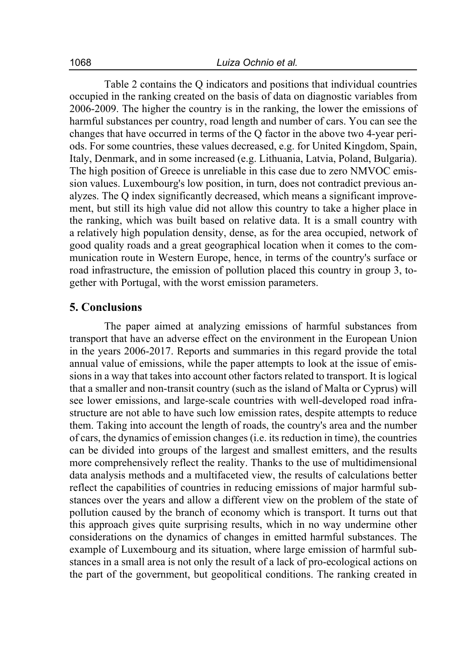Table 2 contains the Q indicators and positions that individual countries occupied in the ranking created on the basis of data on diagnostic variables from 2006-2009. The higher the country is in the ranking, the lower the emissions of harmful substances per country, road length and number of cars. You can see the changes that have occurred in terms of the Q factor in the above two 4-year periods. For some countries, these values decreased, e.g. for United Kingdom, Spain, Italy, Denmark, and in some increased (e.g. Lithuania, Latvia, Poland, Bulgaria). The high position of Greece is unreliable in this case due to zero NMVOC emission values. Luxembourg's low position, in turn, does not contradict previous analyzes. The Q index significantly decreased, which means a significant improvement, but still its high value did not allow this country to take a higher place in the ranking, which was built based on relative data. It is a small country with a relatively high population density, dense, as for the area occupied, network of good quality roads and a great geographical location when it comes to the communication route in Western Europe, hence, in terms of the country's surface or road infrastructure, the emission of pollution placed this country in group 3, together with Portugal, with the worst emission parameters.

#### **5. Conclusions**

The paper aimed at analyzing emissions of harmful substances from transport that have an adverse effect on the environment in the European Union in the years 2006-2017. Reports and summaries in this regard provide the total annual value of emissions, while the paper attempts to look at the issue of emissions in a way that takes into account other factors related to transport. It is logical that a smaller and non-transit country (such as the island of Malta or Cyprus) will see lower emissions, and large-scale countries with well-developed road infrastructure are not able to have such low emission rates, despite attempts to reduce them. Taking into account the length of roads, the country's area and the number of cars, the dynamics of emission changes (i.e. its reduction in time), the countries can be divided into groups of the largest and smallest emitters, and the results more comprehensively reflect the reality. Thanks to the use of multidimensional data analysis methods and a multifaceted view, the results of calculations better reflect the capabilities of countries in reducing emissions of major harmful substances over the years and allow a different view on the problem of the state of pollution caused by the branch of economy which is transport. It turns out that this approach gives quite surprising results, which in no way undermine other considerations on the dynamics of changes in emitted harmful substances. The example of Luxembourg and its situation, where large emission of harmful substances in a small area is not only the result of a lack of pro-ecological actions on the part of the government, but geopolitical conditions. The ranking created in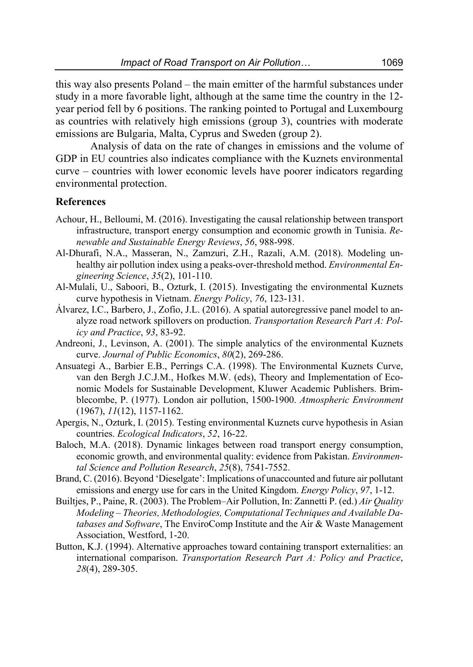this way also presents Poland – the main emitter of the harmful substances under study in a more favorable light, although at the same time the country in the 12 year period fell by 6 positions. The ranking pointed to Portugal and Luxembourg as countries with relatively high emissions (group 3), countries with moderate emissions are Bulgaria, Malta, Cyprus and Sweden (group 2).

Analysis of data on the rate of changes in emissions and the volume of GDP in EU countries also indicates compliance with the Kuznets environmental curve – countries with lower economic levels have poorer indicators regarding environmental protection.

#### **References**

- Achour, H., Belloumi, M. (2016). Investigating the causal relationship between transport infrastructure, transport energy consumption and economic growth in Tunisia. *Renewable and Sustainable Energy Reviews*, *56*, 988-998.
- Al-Dhurafi, N.A., Masseran, N., Zamzuri, Z.H., Razali, A.M. (2018). Modeling unhealthy air pollution index using a peaks-over-threshold method. *Environmental Engineering Science*, *35*(2), 101-110.
- Al-Mulali, U., Saboori, B., Ozturk, I. (2015). Investigating the environmental Kuznets curve hypothesis in Vietnam. *Energy Policy*, *76*, 123-131.
- Álvarez, I.C., Barbero, J., Zofío, J.L. (2016). A spatial autoregressive panel model to analyze road network spillovers on production. *Transportation Research Part A: Policy and Practice*, *93*, 83-92.
- Andreoni, J., Levinson, A. (2001). The simple analytics of the environmental Kuznets curve. *Journal of Public Economics*, *80*(2), 269-286.
- Ansuategi A., Barbier E.B., Perrings C.A. (1998). The Environmental Kuznets Curve, van den Bergh J.C.J.M., Hofkes M.W. (eds), Theory and Implementation of Economic Models for Sustainable Development, Kluwer Academic Publishers. Brimblecombe, P. (1977). London air pollution, 1500-1900. *Atmospheric Environment* (1967), *11*(12), 1157-1162.
- Apergis, N., Ozturk, I. (2015). Testing environmental Kuznets curve hypothesis in Asian countries. *Ecological Indicators*, *52*, 16-22.
- Baloch, M.A. (2018). Dynamic linkages between road transport energy consumption, economic growth, and environmental quality: evidence from Pakistan. *Environmental Science and Pollution Research*, *25*(8), 7541-7552.
- Brand, C. (2016). Beyond 'Dieselgate': Implications of unaccounted and future air pollutant emissions and energy use for cars in the United Kingdom. *Energy Policy*, *97*, 1-12.
- Builtjes, P., Paine, R. (2003). The Problem–Air Pollution, In: Zannetti P. (ed.) *Air Quality Modeling – Theories, Methodologies, Computational Techniques and Available Databases and Software*, The EnviroComp Institute and the Air & Waste Management Association, Westford, 1-20.
- Button, K.J. (1994). Alternative approaches toward containing transport externalities: an international comparison. *Transportation Research Part A: Policy and Practice*, *28*(4), 289-305.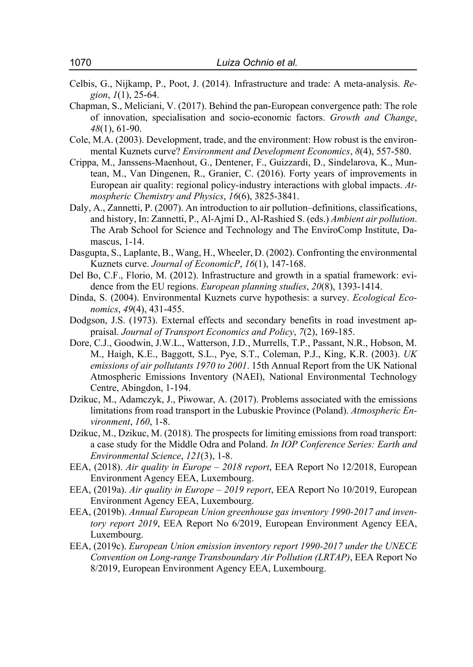- Celbis, G., Nijkamp, P., Poot, J. (2014). Infrastructure and trade: A meta-analysis. *Region*, *1*(1), 25-64.
- Chapman, S., Meliciani, V. (2017). Behind the pan‐European convergence path: The role of innovation, specialisation and socio‐economic factors. *Growth and Change*, *48*(1), 61-90.
- Cole, M.A. (2003). Development, trade, and the environment: How robust is the environmental Kuznets curve? *Environment and Development Economics*, *8*(4), 557-580.
- Crippa, M., Janssens-Maenhout, G., Dentener, F., Guizzardi, D., Sindelarova, K., Muntean, M., Van Dingenen, R., Granier, C. (2016). Forty years of improvements in European air quality: regional policy-industry interactions with global impacts. *Atmospheric Chemistry and Physics*, *16*(6), 3825-3841.
- Daly, A., Zannetti, P. (2007). An introduction to air pollution–definitions, classifications, and history, In: Zannetti, P., Al-Ajmi D., Al-Rashied S. (eds.) *Ambient air pollution*. The Arab School for Science and Technology and The EnviroComp Institute, Damascus, 1-14.
- Dasgupta, S., Laplante, B., Wang, H., Wheeler, D. (2002). Confronting the environmental Kuznets curve. *Journal of EconomicP*, *16*(1), 147-168.
- Del Bo, C.F., Florio, M. (2012). Infrastructure and growth in a spatial framework: evidence from the EU regions. *European planning studies*, *20*(8), 1393-1414.
- Dinda, S. (2004). Environmental Kuznets curve hypothesis: a survey. *Ecological Economics*, *49*(4), 431-455.
- Dodgson, J.S. (1973). External effects and secondary benefits in road investment appraisal. *Journal of Transport Economics and Policy*, *7*(2), 169-185.
- Dore, C.J., Goodwin, J.W.L., Watterson, J.D., Murrells, T.P., Passant, N.R., Hobson, M. M., Haigh, K.E., Baggott, S.L., Pye, S.T., Coleman, P.J., King, K.R. (2003). *UK emissions of air pollutants 1970 to 2001*. 15th Annual Report from the UK National Atmospheric Emissions Inventory (NAEI), National Environmental Technology Centre, Abingdon, 1-194.
- Dzikuc, M., Adamczyk, J., Piwowar, A. (2017). Problems associated with the emissions limitations from road transport in the Lubuskie Province (Poland). *Atmospheric Environment*, *160*, 1-8.
- Dzikuc, M., Dzikuc, M. (2018). The prospects for limiting emissions from road transport: a case study for the Middle Odra and Poland. *In IOP Conference Series: Earth and Environmental Science*, *121*(3), 1-8.
- EEA, (2018). *Air quality in Europe 2018 report*, EEA Report No 12/2018, European Environment Agency EEA, Luxembourg.
- EEA, (2019a). *Air quality in Europe 2019 report*, EEA Report No 10/2019, European Environment Agency EEA, Luxembourg.
- EEA, (2019b). *Annual European Union greenhouse gas inventory 1990-2017 and inventory report 2019*, EEA Report No 6/2019, European Environment Agency EEA, Luxembourg.
- EEA, (2019c). *European Union emission inventory report 1990-2017 under the UNECE Convention on Long-range Transboundary Air Pollution (LRTAP)*, EEA Report No 8/2019, European Environment Agency EEA, Luxembourg.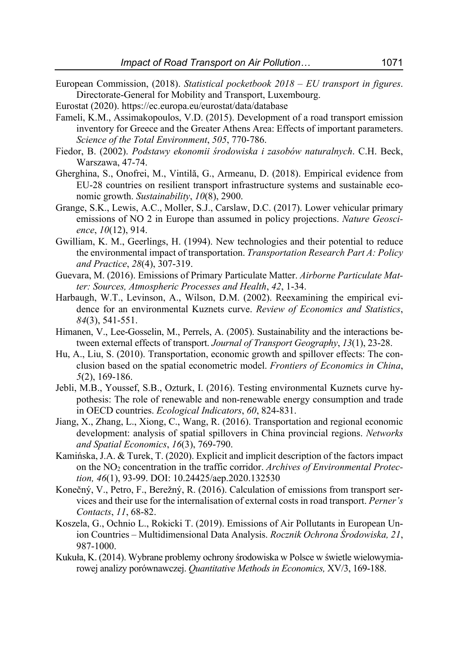- European Commission, (2018). *Statistical pocketbook 2018 EU transport in figures*. Directorate-General for Mobility and Transport, Luxembourg.
- Eurostat (2020). https://ec.europa.eu/eurostat/data/database
- Fameli, K.M., Assimakopoulos, V.D. (2015). Development of a road transport emission inventory for Greece and the Greater Athens Area: Effects of important parameters. *Science of the Total Environment*, *505*, 770-786.
- Fiedor, B. (2002). *Podstawy ekonomii środowiska i zasobów naturalnych*. C.H. Beck, Warszawa, 47-74.
- Gherghina, S., Onofrei, M., Vintilă, G., Armeanu, D. (2018). Empirical evidence from EU-28 countries on resilient transport infrastructure systems and sustainable economic growth. *Sustainability*, *10*(8), 2900.
- Grange, S.K., Lewis, A.C., Moller, S.J., Carslaw, D.C. (2017). Lower vehicular primary emissions of NO 2 in Europe than assumed in policy projections. *Nature Geoscience*, *10*(12), 914.
- Gwilliam, K. M., Geerlings, H. (1994). New technologies and their potential to reduce the environmental impact of transportation. *Transportation Research Part A: Policy and Practice*, *28*(4), 307-319.
- Guevara, M. (2016). Emissions of Primary Particulate Matter. *Airborne Particulate Matter: Sources, Atmospheric Processes and Health*, *42*, 1-34.
- Harbaugh, W.T., Levinson, A., Wilson, D.M. (2002). Reexamining the empirical evidence for an environmental Kuznets curve. *Review of Economics and Statistics*, *84*(3), 541-551.
- Himanen, V., Lee-Gosselin, M., Perrels, A. (2005). Sustainability and the interactions between external effects of transport. *Journal of Transport Geography*, *13*(1), 23-28.
- Hu, A., Liu, S. (2010). Transportation, economic growth and spillover effects: The conclusion based on the spatial econometric model. *Frontiers of Economics in China*, *5*(2), 169-186.
- Jebli, M.B., Youssef, S.B., Ozturk, I. (2016). Testing environmental Kuznets curve hypothesis: The role of renewable and non-renewable energy consumption and trade in OECD countries. *Ecological Indicators*, *60*, 824-831.
- Jiang, X., Zhang, L., Xiong, C., Wang, R. (2016). Transportation and regional economic development: analysis of spatial spillovers in China provincial regions. *Networks and Spatial Economics*, *16*(3), 769-790.
- Kamińska, J.A. & Turek, T. (2020). Explicit and implicit description of the factors impact on the NO<sub>2</sub> concentration in the traffic corridor. *Archives of Environmental Protection, 46*(1), 93-99. DOI: 10.24425/aep.2020.132530
- Konečný, V., Petro, F., Berežný, R. (2016). Calculation of emissions from transport services and their use for the internalisation of external costs in road transport. *Perner's Contacts*, *11*, 68-82.
- Koszela, G., Ochnio L., Rokicki T. (2019). Emissions of Air Pollutants in European Union Countries – Multidimensional Data Analysis. *Rocznik Ochrona Środowiska, 21*, 987-1000.
- Kukuła, K. (2014). Wybrane problemy ochrony środowiska w Polsce w świetle wielowymiarowej analizy porównawczej. *Quantitative Methods in Economics,* XV/3, 169-188.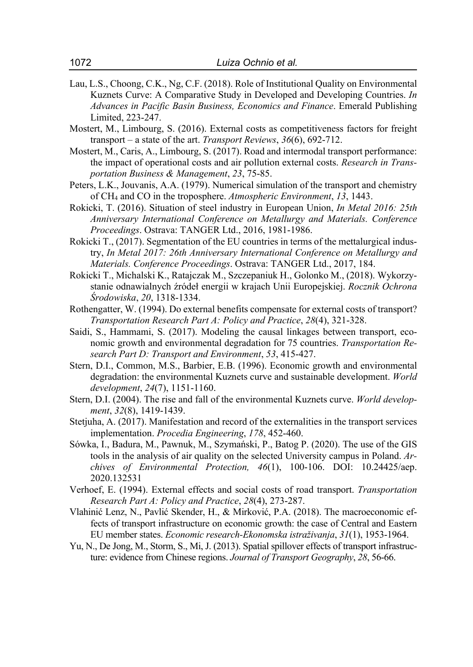- Lau, L.S., Choong, C.K., Ng, C.F. (2018). Role of Institutional Quality on Environmental Kuznets Curve: A Comparative Study in Developed and Developing Countries. *In Advances in Pacific Basin Business, Economics and Finance*. Emerald Publishing Limited, 223-247.
- Mostert, M., Limbourg, S. (2016). External costs as competitiveness factors for freight transport – a state of the art. *Transport Reviews*, *36*(6), 692-712.
- Mostert, M., Caris, A., Limbourg, S. (2017). Road and intermodal transport performance: the impact of operational costs and air pollution external costs. *Research in Transportation Business & Management*, *23*, 75-85.
- Peters, L.K., Jouvanis, A.A. (1979). Numerical simulation of the transport and chemistry of CH4 and CO in the troposphere. *Atmospheric Environment*, *13*, 1443.
- Rokicki, T. (2016). Situation of steel industry in European Union, *In Metal 2016: 25th Anniversary International Conference on Metallurgy and Materials. Conference Proceedings*. Ostrava: TANGER Ltd., 2016, 1981-1986.
- Rokicki T., (2017). Segmentation of the EU countries in terms of the mettalurgical industry, *In Metal 2017: 26th Anniversary International Conference on Metallurgy and Materials. Conference Proceedings*. Ostrava: TANGER Ltd., 2017, 184.
- Rokicki T., Michalski K., Ratajczak M., Szczepaniuk H., Golonko M., (2018). Wykorzystanie odnawialnych źródeł energii w krajach Unii Europejskiej. *Rocznik Ochrona Środowiska*, *20*, 1318-1334.
- Rothengatter, W. (1994). Do external benefits compensate for external costs of transport? *Transportation Research Part A: Policy and Practice*, *28*(4), 321-328.
- Saidi, S., Hammami, S. (2017). Modeling the causal linkages between transport, economic growth and environmental degradation for 75 countries. *Transportation Research Part D: Transport and Environment*, *53*, 415-427.
- Stern, D.I., Common, M.S., Barbier, E.B. (1996). Economic growth and environmental degradation: the environmental Kuznets curve and sustainable development. *World development*, *24*(7), 1151-1160.
- Stern, D.I. (2004). The rise and fall of the environmental Kuznets curve. *World development*, *32*(8), 1419-1439.
- Stetjuha, A. (2017). Manifestation and record of the externalities in the transport services implementation. *Procedia Engineering*, *178*, 452-460.
- Sówka, I., Badura, M., Pawnuk, M., Szymański, P., Batog P. (2020). The use of the GIS tools in the analysis of air quality on the selected University campus in Poland. *Archives of Environmental Protection, 46*(1), 100-106. DOI: 10.24425/aep. 2020.132531
- Verhoef, E. (1994). External effects and social costs of road transport. *Transportation Research Part A: Policy and Practice*, *28*(4), 273-287.
- Vlahinić Lenz, N., Pavlić Skender, H., & Mirković, P.A. (2018). The macroeconomic effects of transport infrastructure on economic growth: the case of Central and Eastern EU member states. *Economic research-Ekonomska istraživanja*, *31*(1), 1953-1964.
- Yu, N., De Jong, M., Storm, S., Mi, J. (2013). Spatial spillover effects of transport infrastructure: evidence from Chinese regions. *Journal of Transport Geography*, *28*, 56-66.